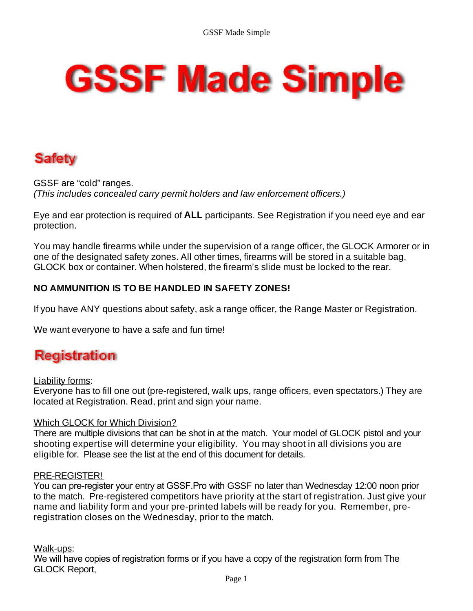# **GSSF Made Simple**

# **Safety**

GSSF are "cold" ranges. *(This includes concealed carry permit holders and law enforcement officers.)*

Eye and ear protection is required of **ALL** participants. See Registration if you need eye and ear protection.

You may handle firearms while under the supervision of a range officer, the GLOCK Armorer or in one of the designated safety zones. All other times, firearms will be stored in a suitable bag, GLOCK box or container. When holstered, the firearm's slide must be locked to the rear.

## **NO AMMUNITION IS TO BE HANDLED IN SAFETY ZONES!**

If you have ANY questions about safety, ask a range officer, the Range Master or Registration.

We want everyone to have a safe and fun time!

## **Registration**

## Liability forms:

Everyone has to fill one out (pre-registered, walk ups, range officers, even spectators.) They are located at Registration. Read, print and sign your name.

## Which GLOCK for Which Division?

There are multiple divisions that can be shot in at the match. Your model of GLOCK pistol and your shooting expertise will determine your eligibility. You may shoot in all divisions you are eligible for. Please see the list at the end of this document for details.

## PRE-REGISTER!

You can pre-register your entry at GSSF.Pro with GSSF no later than Wednesday 12:00 noon prior to the match. Pre-registered competitors have priority at the start of registration. Just give your name and liability form and your pre-printed labels will be ready for you. Remember, preregistration closes on the Wednesday, prior to the match.

## Walk-ups:

We will have copies of registration forms or if you have a copy of the registration form from The GLOCK Report,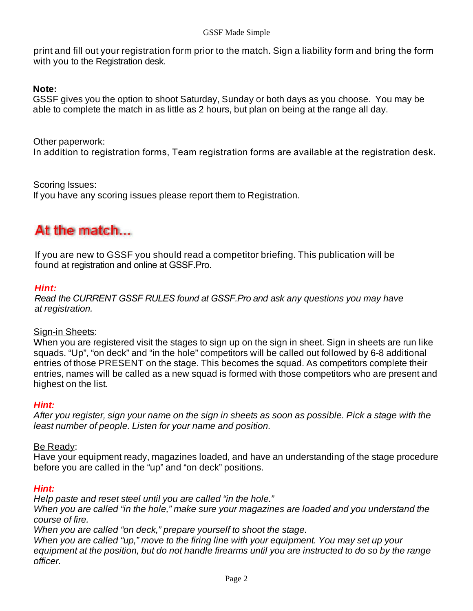print and fill out your registration form prior to the match. Sign a liability form and bring the form with you to the Registration desk.

## **Note:**

GSSF gives you the option to shoot Saturday, Sunday or both days as you choose. You may be able to complete the match in as little as 2 hours, but plan on being at the range all day.

Other paperwork:

In addition to registration forms, Team registration forms are available at the registration desk.

Scoring Issues:

If you have any scoring issues please report them to Registration.

## At the match...

If you are new to GSSF you should read a competitor briefing. This publication will be found at registration and online at GSSF.Pro.

## *Hint:*

*Read the CURRENT GSSF RULES found at GSSF.Pro and ask any questions you may have at registration.*

## Sign-in Sheets:

When you are registered visit the stages to sign up on the sign in sheet. Sign in sheets are run like squads. "Up", "on deck" and "in the hole" competitors will be called out followed by 6-8 additional entries of those PRESENT on the stage. This becomes the squad. As competitors complete their entries, names will be called as a new squad is formed with those competitors who are present and highest on the list.

## *Hint:*

*After you register, sign your name on the sign in sheets as soon as possible. Pick a stage with the least number of people. Listen for your name and position.* 

## Be Ready:

Have your equipment ready, magazines loaded, and have an understanding of the stage procedure before you are called in the "up" and "on deck" positions.

## *Hint:*

*Help paste and reset steel until you are called "in the hole."* 

*When you are called "in the hole," make sure your magazines are loaded and you understand the course of fire.* 

*When you are called "on deck," prepare yourself to shoot the stage.* 

*When you are called "up," move to the firing line with your equipment. You may set up your equipment at the position, but do not handle firearms until you are instructed to do so by the range officer.*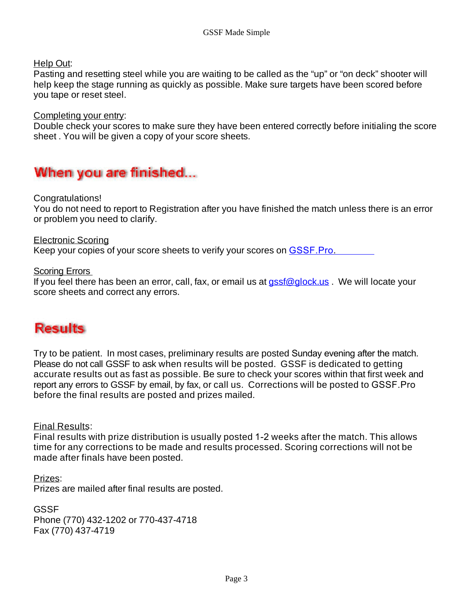Help Out:

Pasting and resetting steel while you are waiting to be called as the "up" or "on deck" shooter will help keep the stage running as quickly as possible. Make sure targets have been scored before you tape or reset steel.

Completing your entry:

Double check your scores to make sure they have been entered correctly before initialing the score sheet . You will be given a copy of your score sheets.

## When you are finished...

Congratulations!

You do not need to report to Registration after you have finished the match unless there is an error or problem you need to clarify.

Electronic Scoring Keep your copies of your score sheets to verify your scores on GSSF.Pro.

Scoring Errors

If you feel there has been an error, call, fax, or email us at  $qssf@qlock.us$ . We will locate your score sheets and correct any errors.

## **Results**

Try to be patient. In most cases, preliminary results are posted Sunday evening after the match. Please do not call GSSF to ask when results will be posted. GSSF is dedicated to getting accurate results out as fast as possible. Be sure to check your scores within that first week and report any errors to GSSF by email, by fax, or call us. Corrections will be posted to GSSF.Pro before the final results are posted and prizes mailed.

Final Results:

Final results with prize distribution is usually posted 1-2 weeks after the match. This allows time for any corrections to be made and results processed. Scoring corrections will not be made after finals have been posted.

Prizes: Prizes are mailed after final results are posted.

GSSF Phone (770) 432-1202 or 770-437-4718 Fax (770) 437-4719